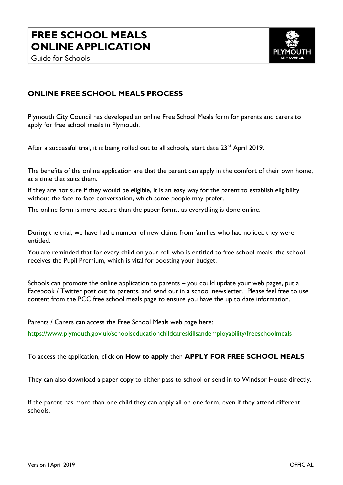



## **ONLINE FREE SCHOOL MEALS PROCESS**

Plymouth City Council has developed an online Free School Meals form for parents and carers to apply for free school meals in Plymouth.

After a successful trial, it is being rolled out to all schools, start date 23<sup>rd</sup> April 2019.

The benefits of the online application are that the parent can apply in the comfort of their own home, at a time that suits them.

If they are not sure if they would be eligible, it is an easy way for the parent to establish eligibility without the face to face conversation, which some people may prefer.

The online form is more secure than the paper forms, as everything is done online.

During the trial, we have had a number of new claims from families who had no idea they were entitled.

You are reminded that for every child on your roll who is entitled to free school meals, the school receives the Pupil Premium, which is vital for boosting your budget.

Schools can promote the online application to parents – you could update your web pages, put a Facebook / Twitter post out to parents, and send out in a school newsletter. Please feel free to use content from the PCC free school meals page to ensure you have the up to date information.

Parents / Carers can access the Free School Meals web page here:

<https://www.plymouth.gov.uk/schoolseducationchildcareskillsandemployability/freeschoolmeals>

To access the application, click on **How to apply** then **APPLY FOR FREE SCHOOL MEALS** 

They can also download a paper copy to either pass to school or send in to Windsor House directly.

If the parent has more than one child they can apply all on one form, even if they attend different schools.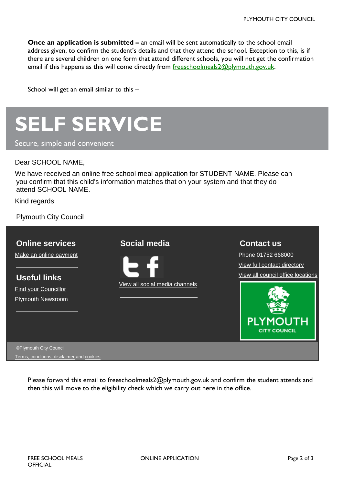**Once an application is submitted –** an email will be sent automatically to the school email address given, to confirm the student's details and that they attend the school. Exception to this, is if there are several children on one form that attend different schools, you will not get the confirmation email if this happens as this will come directly from [freeschoolmeals2@plymouth.gov.uk.](mailto:freeschoolmeals2@plymouth.gov.uk)

School will get an email similar to this –



Secure, simple and convenient

## Dear SCHOOL NAME,

We have received an online free school meal application for STUDENT NAME. Please can you confirm that this child's information matches that on your system and that they do attend SCHOOL NAME.

Kind regards

Plymouth City Council

| <b>Online services</b>   | Social media                   | <b>Contact us</b>                 |
|--------------------------|--------------------------------|-----------------------------------|
| Make an online payment   |                                | Phone 01752 668000                |
|                          |                                | View full contact directory       |
| <b>Useful links</b>      |                                | View all council office locations |
| Find your Councillor     | View all social media channels |                                   |
| <b>Plymouth Newsroom</b> |                                |                                   |
|                          |                                |                                   |
|                          |                                | <b>PLYMOUTH</b>                   |
|                          |                                | <b>CITY COUNCIL</b>               |
|                          |                                |                                   |

©Plymouth City Council [Terms, conditions, disclaimer](https://www.plymouth.gov.uk/aboutwebsite/copyrightanddisclaimer) an[d cookies](https://www.plymouth.gov.uk/aboutwebsite/cookies)

> Please forward this email to freeschoolmeals2@plymouth.gov.uk and confirm the student attends and then this will move to the eligibility check which we carry out here in the office.